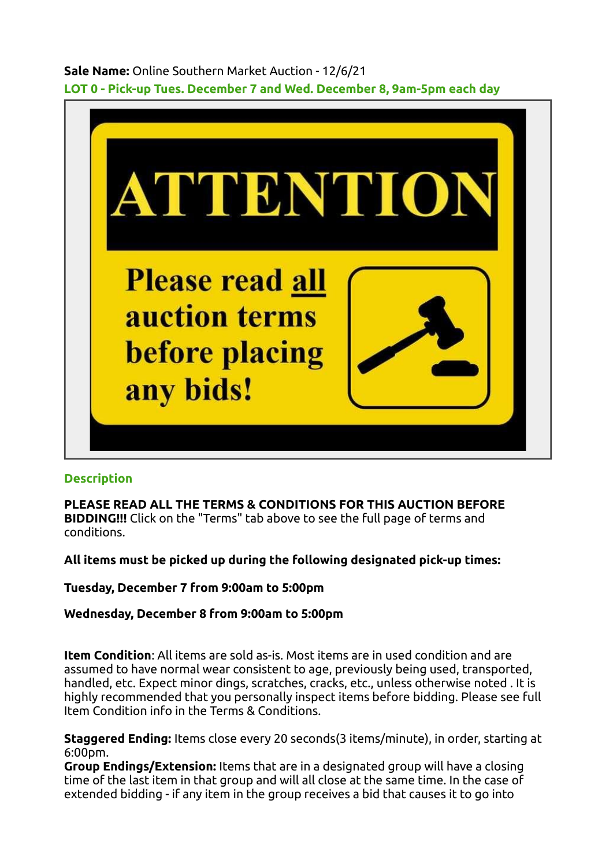Sale Name: Online Southern Market Auction - 12/6/21 LOT 0 - Pick-up Tues. December 7 and Wed. December 8, 9am-5pm each day



## **Description**

PLEASE READ ALL THE TERMS & CONDITIONS FOR THIS AUCTION BEFORE BIDDING!!! Click on the "Terms" tab above to see the full page of terms and conditions.

All items must be picked up during the following designated pick-up times:

Tuesday, December 7 from 9:00am to 5:00pm

Wednesday, December 8 from 9:00am to 5:00pm

Item Condition: All items are sold as-is. Most items are in used condition and are assumed to have normal wear consistent to age, previously being used, transported, handled, etc. Expect minor dings, scratches, cracks, etc., unless otherwise noted . It is highly recommended that you personally inspect items before bidding. Please see full Item Condition info in the Terms & Conditions.

Staggered Ending: Items close every 20 seconds(3 items/minute), in order, starting at 6:00pm.

Group Endings/Extension: Items that are in a designated group will have a closing time of the last item in that group and will all close at the same time. In the case of extended bidding - if any item in the group receives a bid that causes it to go into